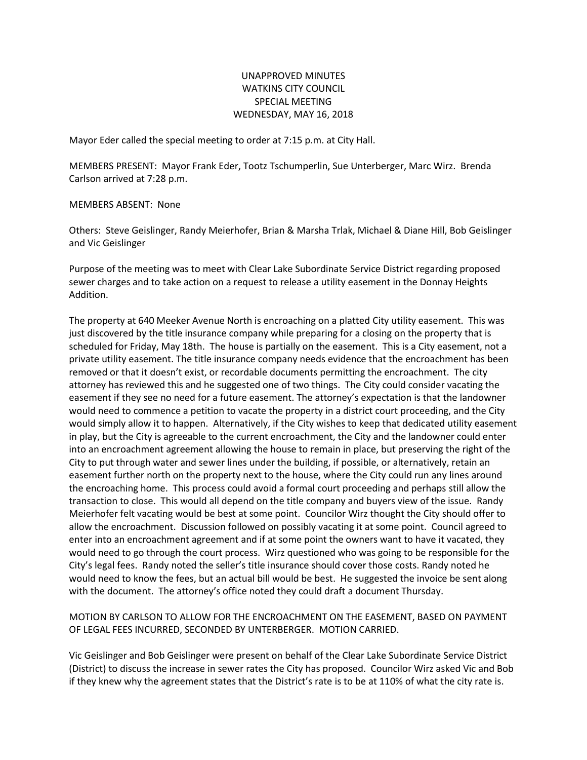## UNAPPROVED MINUTES WATKINS CITY COUNCIL SPECIAL MEETING WEDNESDAY, MAY 16, 2018

Mayor Eder called the special meeting to order at 7:15 p.m. at City Hall.

MEMBERS PRESENT: Mayor Frank Eder, Tootz Tschumperlin, Sue Unterberger, Marc Wirz. Brenda Carlson arrived at 7:28 p.m.

MEMBERS ABSENT: None

Others: Steve Geislinger, Randy Meierhofer, Brian & Marsha Trlak, Michael & Diane Hill, Bob Geislinger and Vic Geislinger

Purpose of the meeting was to meet with Clear Lake Subordinate Service District regarding proposed sewer charges and to take action on a request to release a utility easement in the Donnay Heights Addition.

The property at 640 Meeker Avenue North is encroaching on a platted City utility easement. This was just discovered by the title insurance company while preparing for a closing on the property that is scheduled for Friday, May 18th. The house is partially on the easement. This is a City easement, not a private utility easement. The title insurance company needs evidence that the encroachment has been removed or that it doesn't exist, or recordable documents permitting the encroachment. The city attorney has reviewed this and he suggested one of two things. The City could consider vacating the easement if they see no need for a future easement. The attorney's expectation is that the landowner would need to commence a petition to vacate the property in a district court proceeding, and the City would simply allow it to happen. Alternatively, if the City wishes to keep that dedicated utility easement in play, but the City is agreeable to the current encroachment, the City and the landowner could enter into an encroachment agreement allowing the house to remain in place, but preserving the right of the City to put through water and sewer lines under the building, if possible, or alternatively, retain an easement further north on the property next to the house, where the City could run any lines around the encroaching home. This process could avoid a formal court proceeding and perhaps still allow the transaction to close. This would all depend on the title company and buyers view of the issue. Randy Meierhofer felt vacating would be best at some point. Councilor Wirz thought the City should offer to allow the encroachment. Discussion followed on possibly vacating it at some point. Council agreed to enter into an encroachment agreement and if at some point the owners want to have it vacated, they would need to go through the court process. Wirz questioned who was going to be responsible for the City's legal fees. Randy noted the seller's title insurance should cover those costs. Randy noted he would need to know the fees, but an actual bill would be best. He suggested the invoice be sent along with the document. The attorney's office noted they could draft a document Thursday.

## MOTION BY CARLSON TO ALLOW FOR THE ENCROACHMENT ON THE EASEMENT, BASED ON PAYMENT OF LEGAL FEES INCURRED, SECONDED BY UNTERBERGER. MOTION CARRIED.

Vic Geislinger and Bob Geislinger were present on behalf of the Clear Lake Subordinate Service District (District) to discuss the increase in sewer rates the City has proposed. Councilor Wirz asked Vic and Bob if they knew why the agreement states that the District's rate is to be at 110% of what the city rate is.